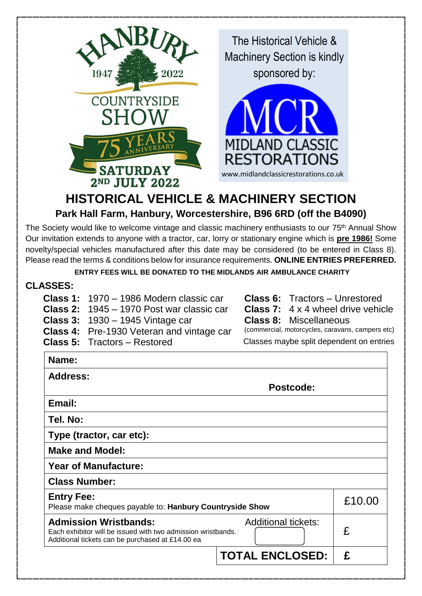

# **HISTORICAL VEHICLE & MACHINERY SECTION Park Hall Farm, Hanbury, Worcestershire, B96 6RD (off the B4090)**

The Society would like to welcome vintage and classic machinery enthusiasts to our 75<sup>th</sup> Annual Show Our invitation extends to anyone with a tractor, car, lorry or stationary engine which is **pre 1986!** Some novelty/special vehicles manufactured after this date may be considered (to be entered in Class 8). Please read the terms & conditions below for insurance requirements. **ONLINE ENTRIES PREFERRED.**

**ENTRY FEES WILL BE DONATED TO THE MIDLANDS AIR AMBULANCE CHARITY**

#### **CLASSES:**

- **Class 1:** 1970 1986 Modern classic car **Class 6:** Tractors Unrestored **Class 2:** 1945 – 1970 Post war classic car **Class 7:** 4 x 4 wheel drive vehicle **Class 3:** 1930 – 1945 Vintage car **Class 8:** Miscellaneous **Class 4:** Pre-1930 Veteran and vintage car
	-
	-
	-
- 
- 

**Class 5:** Tractors – Restored Classes maybe split dependent on entries

| Name:                                                                                                                                            |                            |        |
|--------------------------------------------------------------------------------------------------------------------------------------------------|----------------------------|--------|
| <b>Address:</b>                                                                                                                                  |                            |        |
| Postcode:                                                                                                                                        |                            |        |
| Email:                                                                                                                                           |                            |        |
| Tel. No:                                                                                                                                         |                            |        |
| Type (tractor, car etc):                                                                                                                         |                            |        |
| <b>Make and Model:</b>                                                                                                                           |                            |        |
| <b>Year of Manufacture:</b>                                                                                                                      |                            |        |
| <b>Class Number:</b>                                                                                                                             |                            |        |
| <b>Entry Fee:</b><br>Please make cheques payable to: Hanbury Countryside Show                                                                    |                            | £10.00 |
| <b>Admission Wristbands:</b><br>Each exhibitor will be issued with two admission wristbands.<br>Additional tickets can be purchased at £14.00 ea | <b>Additional tickets:</b> | £      |
|                                                                                                                                                  | <b>TOTAL ENCLOSED:</b>     | £      |